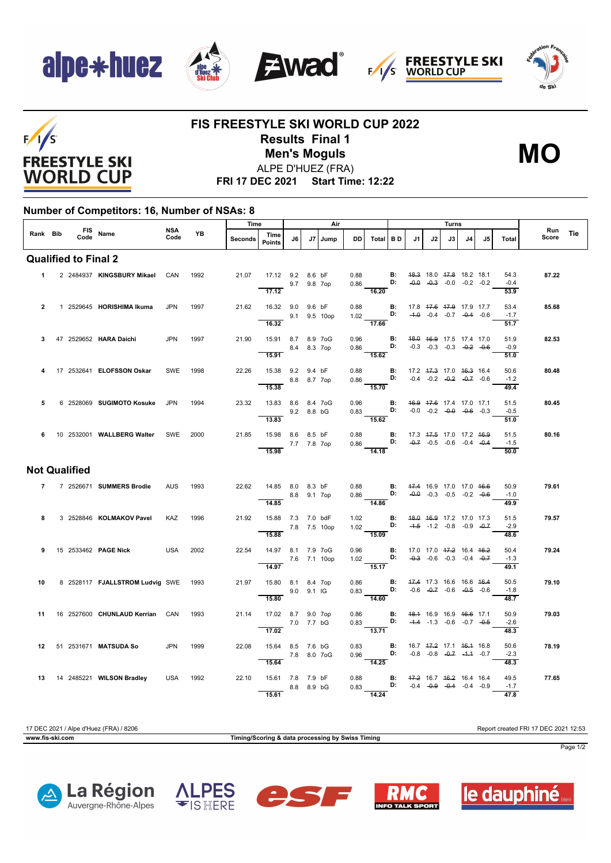









## **FIS FREESTYLE SKI WORLD CUP 2022 Results Final 1** ALPE D'HUEZ (FRA) **Men's Moguls MO**



**FRI 17 DEC 2021 Start Time: 12:22**

## **Number of Competitors: 16, Number of NSAs: 8**

|                             |           |                       |                                      |             |           | Time    |                                            | Air |      |        |         |                                                                                                                    |                | Turns |    |                                                                |    |                                    | Run                    |              |  |
|-----------------------------|-----------|-----------------------|--------------------------------------|-------------|-----------|---------|--------------------------------------------|-----|------|--------|---------|--------------------------------------------------------------------------------------------------------------------|----------------|-------|----|----------------------------------------------------------------|----|------------------------------------|------------------------|--------------|--|
| Rank Bib                    |           | FIS Name<br>Code Name |                                      | NSA<br>Code | <b>YB</b> | Seconds | Time<br><b>Points</b>                      | J6  | J7 I | l Jump | DD      | Total BD                                                                                                           |                | J1    | J2 | J3                                                             | J4 | J5                                 | Total                  | Tie<br>Score |  |
| <b>Qualified to Final 2</b> |           |                       |                                      |             |           |         |                                            |     |      |        |         |                                                                                                                    |                |       |    |                                                                |    |                                    |                        |              |  |
|                             | $1 \quad$ |                       | 2 2484937 KINGSBURY Mikael           | CAN         | 1992      | 21.07   | 17.12 9.2 8.6 bF<br>9.7 9.8 7op            |     |      |        | 0.88    | $0.86$ D:                                                                                                          | $\mathbf{B}$ : |       |    | 48.3 18.0 47.8 18.2 18.1                                       |    | $-0.0$ $-0.3$ $-0.0$ $-0.2$ $-0.2$ | 54.3<br>$-0.4$         | 87.22        |  |
|                             |           |                       |                                      |             |           |         | $\overline{17.12}$                         |     |      |        |         | $\frac{0.006}{16.20}$                                                                                              |                |       |    |                                                                |    |                                    | 53.9                   |              |  |
| $\mathbf{2}$                |           |                       | 1 2529645 HORISHIMA Ikuma            | <b>JPN</b>  | 1997      | 21.62   | 16.32 9.0 9.6 bF<br>9.1 9.5 10op<br>16.32  |     |      |        | a sa sa | 0.88 <b>B:</b> 17.8 <del>17.6 17.9</del> 17.9 17.7<br>1.02 <b>D:</b> -4.0 -0.4 -0.7 -0.4 -0.6<br>$\frac{17.66}{ }$ |                |       |    |                                                                |    |                                    | 53.4<br>$-1.7$<br>51.7 | 85.68        |  |
| 3                           |           |                       | 47 2529652 HARA Daichi               | <b>JPN</b>  | 1997      | 21.90   | 15.91 8.7 8.9 7oG                          |     |      |        | 0.96    |                                                                                                                    | B:             |       |    | 48.0 46.9 17.5 17.4 17.0                                       |    |                                    | 51.9                   | 82.53        |  |
|                             |           |                       |                                      |             |           |         | 8.4 8.3 7op<br>15.91                       |     |      |        |         | $0.86$ D:<br>15.62                                                                                                 |                |       |    | $-0.3$ $-0.3$ $-0.3$ $-0.2$ $-0.6$                             |    |                                    | $-0.9$<br>51.0         |              |  |
|                             |           |                       | 17 2532641 ELOFSSON Oskar            | SWE         | 1998      | 22.26   | 15.38 9.2 9.4 bF                           |     |      |        |         | 0.88 <b>B</b> : $17.2$ 47.3 17.0 46.3 16.4<br>0.86 <b>D:</b> $-0.4$ $-0.2$ $-0.2$ $-0.2$ $-0.7$ $-0.6$             |                |       |    |                                                                |    |                                    | 50.6                   | 80.48        |  |
|                             |           |                       |                                      |             |           |         | 8.8 8.7 7op<br>15.38                       |     |      |        |         | $\overline{15.70}$                                                                                                 |                |       |    |                                                                |    |                                    | $-1.2$<br>49.4         |              |  |
| 5                           |           |                       | 6 2528069 SUGIMOTO Kosuke            | <b>JPN</b>  | 1994      | 23.32   | 13.83 8.6 8.4 7oG<br>9.2 8.8 bG            |     |      |        | 0.96    | $0.83$ D:                                                                                                          | B:             |       |    | 46.9 47.6 17.4 17.0 17.1<br>$-0.0$ $-0.2$ $-0.0$ $-0.6$ $-0.3$ |    |                                    | 51.5<br>$-0.5$         | 80.45        |  |
|                             |           |                       |                                      |             |           |         | 13.83                                      |     |      |        |         | 15.62                                                                                                              |                |       |    |                                                                |    |                                    | 51.0                   |              |  |
|                             |           |                       | 6 10 2532001 WALLBERG Walter         | SWE 2000    |           | 21.85   | 15.98 8.6 8.5 bF<br>$- 7.7$ 7.8 7op        |     |      |        |         | 0.88 <b>B:</b> 17.3 $+7.5$ 17.0 17.2 $+6.9$<br>0.86 <b>D:</b> $-0.7$ -0.5 -0.6 -0.4 -0.4                           |                |       |    |                                                                |    |                                    | 51.5<br>$-1.5$         | 80.16        |  |
|                             |           |                       |                                      |             |           |         | 15.98                                      |     |      |        |         | $\overline{14.18}$                                                                                                 |                |       |    |                                                                |    |                                    | 50.0                   |              |  |
|                             |           | <b>Not Qualified</b>  |                                      |             |           |         |                                            |     |      |        |         |                                                                                                                    |                |       |    |                                                                |    |                                    |                        |              |  |
|                             |           |                       | 7 7 2526671 SUMMERS Brodie           |             | AUS 1993  | 22.62   | 14.85 8.0 8.3 bF<br>$-8.8$ 9.1 7op         |     |      |        |         | 0.88 <b>B:</b> $47.4$ 16.9 17.0 17.0 $46.6$<br>0.86 <b>D:</b> $-0.9$ -0.3 -0.5 -0.2 -0.6                           |                |       |    |                                                                |    |                                    | 50.9<br>$-1.0$         | 79.61        |  |
|                             |           |                       |                                      |             |           |         | 14.85                                      |     |      |        |         | $\overline{14.86}$                                                                                                 |                |       |    |                                                                |    |                                    | 49.9                   |              |  |
| 8                           |           |                       | 3 2528846 KOLMAKOV Pavel             | <b>KAZ</b>  | 1996      | 21.92   | 15.88 7.3 7.0 bdF<br>7.8 7.5 10op          |     |      |        | 1.02    | 1.02 <b>D:</b> $-4.5$ -1.2 -0.8 -0.9 -0.7                                                                          |                |       |    | <b>B:</b> 48.0 46.9 17.2 17.0 17.3                             |    |                                    | 51.5<br>$-2.9$         | 79.57        |  |
|                             |           |                       |                                      |             |           |         | 15.88                                      |     |      |        |         | $\frac{1}{15.09}$                                                                                                  |                |       |    |                                                                |    |                                    | 48.6                   |              |  |
| 9                           |           |                       | 15 2533462 <b>PAGE Nick</b>          | <b>USA</b>  | 2002      | 22.54   | 14.97 8.1 7.9 7oG<br>7.6 7.1 10op<br>14.97 |     |      |        | 0.96    | 1.02 <b>D:</b> $-0.3$ $-0.6$ $-0.3$ $-0.4$ $-0.7$<br>$\overline{15.17}$                                            |                |       |    | <b>B:</b> 17.0 17.0 <del>17.2</del> 16.4 <del>16.2</del>       |    |                                    | 50.4<br>$-1.3$<br>49.1 | 79.24        |  |
| 10                          |           |                       | 8 2528117 FJALLSTROM Ludvig SWE 1993 |             |           | 21.97   | 15.80 8.1 8.4 7op                          |     |      |        |         | 0.86 <b>B:</b> 47.4 17.3 16.6 16.6 46.4                                                                            |                |       |    |                                                                |    |                                    | 50.5                   | 79.10        |  |
|                             |           |                       |                                      |             |           |         | 9.0 9.1 IG<br>15.80                        |     |      |        |         | $0.83$ D:<br>$-14.60$                                                                                              |                |       |    | $-0.6$ $-0.7$ $-0.6$ $-0.5$ $-0.6$                             |    |                                    | $-1.8$<br>48.7         |              |  |
| 11                          |           |                       | 16 2527600 CHUNLAUD Kerrian CAN      |             | 1993      | 21.14   | 17.02 8.7 9.0 7op                          |     |      |        | 0.86    |                                                                                                                    |                |       |    | <b>B:</b> 48.4 16.9 16.9 46.6 17.1                             |    |                                    | 50.9                   | 79.03        |  |
|                             |           |                       |                                      |             |           |         | 7.0 7.7 bG<br>17.02                        |     |      |        |         | 0.83 <b>D:</b> $-4.4$ $-1.3$ $-0.6$ $-0.7$ $-0.5$<br>$\overline{13.71}$                                            |                |       |    |                                                                |    |                                    | $-2.6$<br>48.3         |              |  |
|                             |           |                       | 12 51 2531671 MATSUDA So             | <b>JPN</b>  | 1999      | 22.08   | 15.64 8.5 7.6 bG<br>7.8 8.0 7oG            |     |      |        |         | 0.83 <b>B:</b> 16.7 $47.2$ 17.1 $46.4$ 16.8<br>0.96 <b>D:</b> -0.8 -0.8 -0.7 -1.4 -0.7                             |                |       |    |                                                                |    |                                    | 50.6<br>$-2.3$         | 78.19        |  |
|                             |           |                       |                                      |             |           |         | 15.64                                      |     |      |        |         | $\overline{14.25}$                                                                                                 |                |       |    |                                                                |    |                                    | 48.3                   |              |  |
|                             |           |                       | 13 14 2485221 WILSON Bradley         | USA         | 1992      | 22.10   | 15.61 7.8 7.9 bF<br>8.8 8.9 bG             |     |      |        | 0.88    | 0.83 D: $-0.4$ $-0.9$ $-0.4$ $-0.4$ $-0.4$ $-0.9$                                                                  |                |       |    | <b>B:</b> 47.2 16.7 46.2 16.4 16.4                             |    |                                    | 49.5<br>$-1.7$         | 77.65        |  |
|                             |           |                       |                                      |             |           |         | 15.61                                      |     |      |        |         | $\overline{14.24}$                                                                                                 |                |       |    |                                                                |    |                                    | 47.8                   |              |  |

17 DEC 2021 / Alpe d'Huez (FRA) / 8206 Report created FRI 17 DEC 2021 12:53 **www.fis-ski.com Timing/Scoring & data processing by Swiss Timing**











Page 1/2